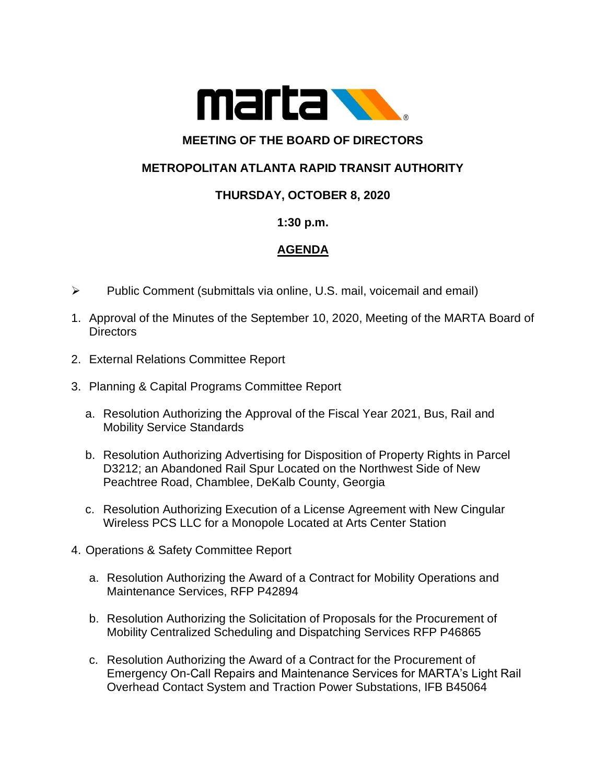

## **MEETING OF THE BOARD OF DIRECTORS**

# **METROPOLITAN ATLANTA RAPID TRANSIT AUTHORITY**

## **THURSDAY, OCTOBER 8, 2020**

### **1:30 p.m.**

## **AGENDA**

- ➢ Public Comment (submittals via online, U.S. mail, voicemail and email)
- 1. Approval of the Minutes of the September 10, 2020, Meeting of the MARTA Board of **Directors**
- 2. External Relations Committee Report
- 3. Planning & Capital Programs Committee Report
	- a. Resolution Authorizing the Approval of the Fiscal Year 2021, Bus, Rail and Mobility Service Standards
	- b. Resolution Authorizing Advertising for Disposition of Property Rights in Parcel D3212; an Abandoned Rail Spur Located on the Northwest Side of New Peachtree Road, Chamblee, DeKalb County, Georgia
	- c. Resolution Authorizing Execution of a License Agreement with New Cingular Wireless PCS LLC for a Monopole Located at Arts Center Station
- 4. Operations & Safety Committee Report
	- a. Resolution Authorizing the Award of a Contract for Mobility Operations and Maintenance Services, RFP P42894
	- b. Resolution Authorizing the Solicitation of Proposals for the Procurement of Mobility Centralized Scheduling and Dispatching Services RFP P46865
	- c. Resolution Authorizing the Award of a Contract for the Procurement of Emergency On-Call Repairs and Maintenance Services for MARTA's Light Rail Overhead Contact System and Traction Power Substations, IFB B45064